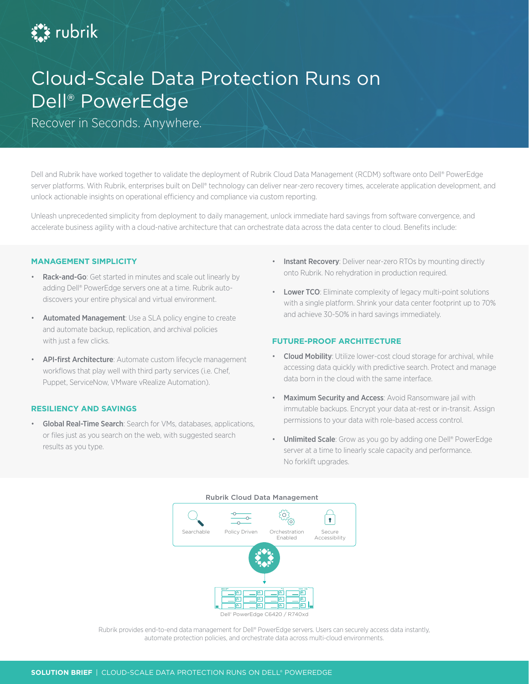

# Cloud-Scale Data Protection Runs on Dell® PowerEdge

Recover in Seconds. Anywhere.

Dell and Rubrik have worked together to validate the deployment of Rubrik Cloud Data Management (RCDM) software onto Dell® PowerEdge server platforms. With Rubrik, enterprises built on Dell® technology can deliver near-zero recovery times, accelerate application development, and unlock actionable insights on operational efficiency and compliance via custom reporting.

Unleash unprecedented simplicity from deployment to daily management, unlock immediate hard savings from software convergence, and accelerate business agility with a cloud-native architecture that can orchestrate data across the data center to cloud. Benefits include:

#### **MANAGEMENT SIMPLICITY**

- Rack-and-Go: Get started in minutes and scale out linearly by adding Dell® PowerEdge servers one at a time. Rubrik autodiscovers your entire physical and virtual environment.
- Automated Management: Use a SLA policy engine to create and automate backup, replication, and archival policies with just a few clicks.
- API-first Architecture: Automate custom lifecycle management workflows that play well with third party services (i.e. Chef, Puppet, ServiceNow, VMware vRealize Automation).

## **RESILIENCY AND SAVINGS**

• Global Real-Time Search: Search for VMs, databases, applications, or files just as you search on the web, with suggested search results as you type.

- Instant Recovery: Deliver near-zero RTOs by mounting directly onto Rubrik. No rehydration in production required.
- Lower TCO: Eliminate complexity of legacy multi-point solutions with a single platform. Shrink your data center footprint up to 70% and achieve 30-50% in hard savings immediately.

# **FUTURE-PROOF ARCHITECTURE**

- Cloud Mobility: Utilize lower-cost cloud storage for archival, while accessing data quickly with predictive search. Protect and manage data born in the cloud with the same interface.
- Maximum Security and Access: Avoid Ransomware jail with immutable backups. Encrypt your data at-rest or in-transit. Assign permissions to your data with role-based access control.
- Unlimited Scale: Grow as you go by adding one Dell® PowerEdge server at a time to linearly scale capacity and performance. No forklift upgrades.



Rubrik provides end-to-end data management for Dell® PowerEdge servers. Users can securely access data instantly, automate protection policies, and orchestrate data across multi-cloud environments.